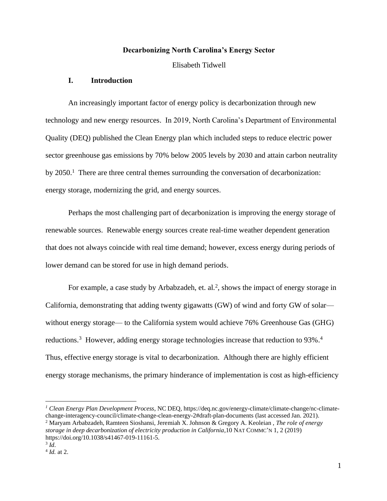## **Decarbonizing North Carolina's Energy Sector**

Elisabeth Tidwell

## **I. Introduction**

An increasingly important factor of energy policy is decarbonization through new technology and new energy resources. In 2019, North Carolina's Department of Environmental Quality (DEQ) published the Clean Energy plan which included steps to reduce electric power sector greenhouse gas emissions by 70% below 2005 levels by 2030 and attain carbon neutrality by  $2050<sup>1</sup>$ . There are three central themes surrounding the conversation of decarbonization: energy storage, modernizing the grid, and energy sources.

Perhaps the most challenging part of decarbonization is improving the energy storage of renewable sources. Renewable energy sources create real-time weather dependent generation that does not always coincide with real time demand; however, excess energy during periods of lower demand can be stored for use in high demand periods.

For example, a case study by Arbabzadeh, et. al.<sup>2</sup>, shows the impact of energy storage in California, demonstrating that adding twenty gigawatts (GW) of wind and forty GW of solar without energy storage— to the California system would achieve 76% Greenhouse Gas (GHG) reductions.<sup>3</sup> However, adding energy storage technologies increase that reduction to 93%.<sup>4</sup> Thus, effective energy storage is vital to decarbonization. Although there are highly efficient energy storage mechanisms, the primary hinderance of implementation is cost as high-efficiency

*<sup>1</sup> Clean Energy Plan Development Process*, NC DEQ, https://deq.nc.gov/energy-climate/climate-change/nc-climatechange-interagency-council/climate-change-clean-energy-2#draft-plan-documents (last accessed Jan. 2021). <sup>2</sup> Maryam Arbabzadeh, Ramteen Sioshansi, Jeremiah X. Johnson & Gregory A. Keoleian , *The role of energy storage in deep decarbonization of electricity production in California*,10 NAT COMMC'N 1, 2 (2019) https://doi.org/10.1038/s41467-019-11161-5.

<sup>3</sup> *Id*.

<sup>4</sup> *Id.* at 2.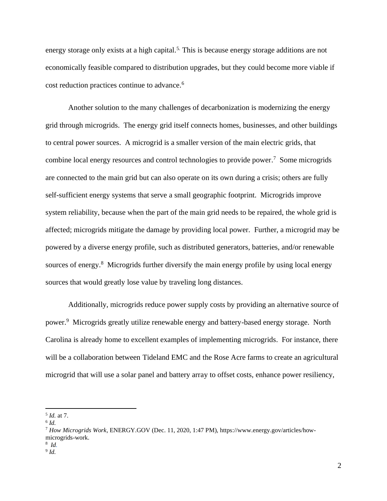energy storage only exists at a high capital.<sup>5.</sup> This is because energy storage additions are not economically feasible compared to distribution upgrades, but they could become more viable if cost reduction practices continue to advance. 6

Another solution to the many challenges of decarbonization is modernizing the energy grid through microgrids. The energy grid itself connects homes, businesses, and other buildings to central power sources. A microgrid is a smaller version of the main electric grids, that combine local energy resources and control technologies to provide power. <sup>7</sup> Some microgrids are connected to the main grid but can also operate on its own during a crisis; others are fully self-sufficient energy systems that serve a small geographic footprint. Microgrids improve system reliability, because when the part of the main grid needs to be repaired, the whole grid is affected; microgrids mitigate the damage by providing local power. Further, a microgrid may be powered by a diverse energy profile, such as distributed generators, batteries, and/or renewable sources of energy. <sup>8</sup> Microgrids further diversify the main energy profile by using local energy sources that would greatly lose value by traveling long distances.

Additionally, microgrids reduce power supply costs by providing an alternative source of power.<sup>9</sup> Microgrids greatly utilize renewable energy and battery-based energy storage. North Carolina is already home to excellent examples of implementing microgrids. For instance, there will be a collaboration between Tideland EMC and the Rose Acre farms to create an agricultural microgrid that will use a solar panel and battery array to offset costs, enhance power resiliency,

8 *Id.* 

<sup>5</sup> *Id.* at 7.

<sup>6</sup> *Id.*

<sup>7</sup> *How Microgrids Work*, ENERGY.GOV (Dec. 11, 2020, 1:47 PM), https://www.energy.gov/articles/howmicrogrids-work.

<sup>9</sup> *Id.*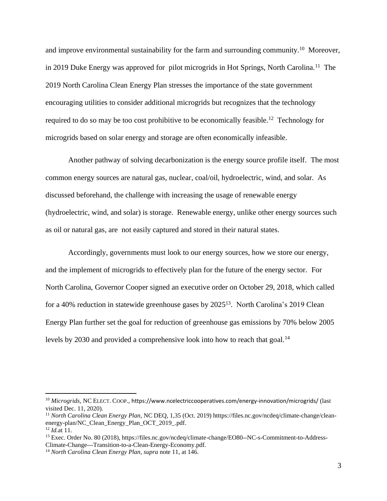and improve environmental sustainability for the farm and surrounding community.<sup>10</sup> Moreover, in 2019 Duke Energy was approved for pilot microgrids in Hot Springs, North Carolina.<sup>11</sup> The 2019 North Carolina Clean Energy Plan stresses the importance of the state government encouraging utilities to consider additional microgrids but recognizes that the technology required to do so may be too cost prohibitive to be economically feasible.<sup>12</sup> Technology for microgrids based on solar energy and storage are often economically infeasible.

Another pathway of solving decarbonization is the energy source profile itself. The most common energy sources are natural gas, nuclear, coal/oil, hydroelectric, wind, and solar. As discussed beforehand, the challenge with increasing the usage of renewable energy (hydroelectric, wind, and solar) is storage. Renewable energy, unlike other energy sources such as oil or natural gas, are not easily captured and stored in their natural states.

Accordingly, governments must look to our energy sources, how we store our energy, and the implement of microgrids to effectively plan for the future of the energy sector. For North Carolina, Governor Cooper signed an executive order on October 29, 2018, which called for a 40% reduction in statewide greenhouse gases by 2025<sup>13</sup>. North Carolina's 2019 Clean Energy Plan further set the goal for reduction of greenhouse gas emissions by 70% below 2005 levels by 2030 and provided a comprehensive look into how to reach that goal.<sup>14</sup>

<sup>10</sup> *Microgrids*, NC ELECT. COOP., https://www.ncelectriccooperatives.com/energy-innovation/microgrids/ (last visited Dec. 11, 2020).

<sup>11</sup> *North Carolina Clean Energy Plan*, NC DEQ, 1,35 (Oct. 2019) htttps://files.nc.gov/ncdeq/climate-change/cleanenergy-plan/NC\_Clean\_Energy\_Plan\_OCT\_2019\_.pdf.

<sup>12</sup> *Id.*at 11.

<sup>13</sup> Exec. Order No. 80 (2018), https://files.nc.gov/ncdeq/climate-change/EO80--NC-s-Commitment-to-Address-Climate-Change---Transition-to-a-Clean-Energy-Economy.pdf.

<sup>14</sup> *North Carolina Clean Energy Plan*, *supra* note 11, at 146.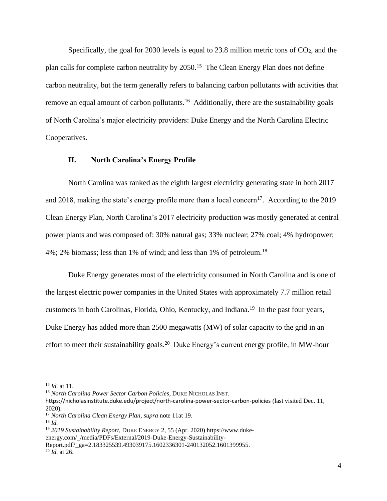Specifically, the goal for 2030 levels is equal to  $23.8$  million metric tons of  $CO<sub>2</sub>$ , and the plan calls for complete carbon neutrality by 2050.<sup>15</sup> The Clean Energy Plan does not define carbon neutrality, but the term generally refers to balancing carbon pollutants with activities that remove an equal amount of carbon pollutants.<sup>16</sup> Additionally, there are the sustainability goals of North Carolina's major electricity providers: Duke Energy and the North Carolina Electric Cooperatives.

## **II. North Carolina's Energy Profile**

North Carolina was ranked as the eighth largest electricity generating state in both 2017 and 2018, making the state's energy profile more than a local concern<sup>17</sup>. According to the 2019 Clean Energy Plan, North Carolina's 2017 electricity production was mostly generated at central power plants and was composed of: 30% natural gas; 33% nuclear; 27% coal; 4% hydropower; 4%; 2% biomass; less than 1% of wind; and less than 1% of petroleum.<sup>18</sup>

Duke Energy generates most of the electricity consumed in North Carolina and is one of the largest electric power companies in the United States with approximately 7.7 million retail customers in both Carolinas, Florida, Ohio, Kentucky, and Indiana.<sup>19</sup> In the past four years, Duke Energy has added more than 2500 megawatts (MW) of solar capacity to the grid in an effort to meet their sustainability goals.<sup>20</sup> Duke Energy's current energy profile, in MW-hour

<sup>15</sup> *Id.* at 11.

<sup>16</sup> *North Carolina Power Sector Carbon Policies*, DUKE NICHOLAS INST.

https://nicholasinstitute.duke.edu/project/north-carolina-power-sector-carbon-policies (last visited Dec. 11, 2020).

<sup>17</sup> *North Carolina Clean Energy Plan*, *supra* note 11at 19.

<sup>18</sup> *Id.*

<sup>19</sup> *2019 Sustainability Report*, DUKE ENERGY 2, 55 (Apr. 2020) https://www.duke-

energy.com/\_/media/PDFs/External/2019-Duke-Energy-Sustainability-

Report.pdf? ga=2.183325539.493039175.1602336301-240132052.1601399955.

<sup>20</sup> *Id.* at 26.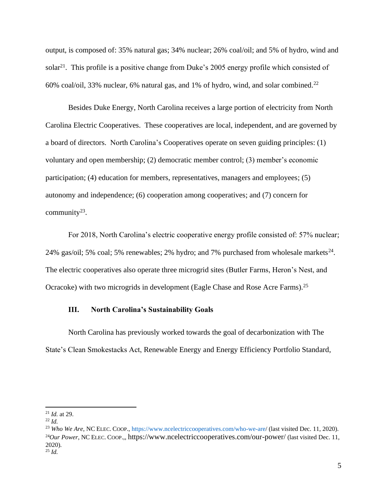output, is composed of: 35% natural gas; 34% nuclear; 26% coal/oil; and 5% of hydro, wind and solar<sup>21</sup>. This profile is a positive change from Duke's 2005 energy profile which consisted of 60% coal/oil, 33% nuclear, 6% natural gas, and 1% of hydro, wind, and solar combined. 22

Besides Duke Energy, North Carolina receives a large portion of electricity from North Carolina Electric Cooperatives. These cooperatives are local, independent, and are governed by a board of directors. North Carolina's Cooperatives operate on seven guiding principles: (1) voluntary and open membership; (2) democratic member control; (3) member's economic participation; (4) education for members, representatives, managers and employees; (5) autonomy and independence; (6) cooperation among cooperatives; and (7) concern for community<sup>23</sup>.

For 2018, North Carolina's electric cooperative energy profile consisted of: 57% nuclear; 24% gas/oil; 5% coal; 5% renewables; 2% hydro; and 7% purchased from wholesale markets $^{24}$ . The electric cooperatives also operate three microgrid sites (Butler Farms, Heron's Nest, and Ocracoke) with two microgrids in development (Eagle Chase and Rose Acre Farms).<sup>25</sup>

## **III. North Carolina's Sustainability Goals**

North Carolina has previously worked towards the goal of decarbonization with The State's Clean Smokestacks Act, Renewable Energy and Energy Efficiency Portfolio Standard,

<sup>21</sup> *Id.* at 29.

<sup>22</sup> *Id.* 

<sup>&</sup>lt;sup>23</sup> Who We Are, NC ELEC. COOP., https://www.ncelectriccooperatives.com/who-we-are/ (last visited Dec. 11, 2020). <sup>24</sup>Our Power, NC ELEC. COOP... https://www.ncelectriccooperatives.com/our-power/ (last visited Dec. 11, 2020). <sup>25</sup> *Id.*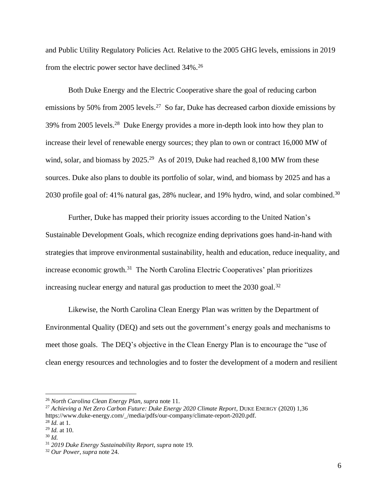and Public Utility Regulatory Policies Act. Relative to the 2005 GHG levels, emissions in 2019 from the electric power sector have declined 34%.<sup>26</sup>

Both Duke Energy and the Electric Cooperative share the goal of reducing carbon emissions by 50% from 2005 levels.<sup>27</sup> So far, Duke has decreased carbon dioxide emissions by 39% from 2005 levels.<sup>28</sup> Duke Energy provides a more in-depth look into how they plan to increase their level of renewable energy sources; they plan to own or contract 16,000 MW of wind, solar, and biomass by  $2025.^{29}$  As of 2019, Duke had reached 8,100 MW from these sources. Duke also plans to double its portfolio of solar, wind, and biomass by 2025 and has a 2030 profile goal of: 41% natural gas, 28% nuclear, and 19% hydro, wind, and solar combined.<sup>30</sup>

Further, Duke has mapped their priority issues according to the United Nation's Sustainable Development Goals, which recognize ending deprivations goes hand-in-hand with strategies that improve environmental sustainability, health and education, reduce inequality, and increase economic growth. <sup>31</sup> The North Carolina Electric Cooperatives' plan prioritizes increasing nuclear energy and natural gas production to meet the  $2030$  goal.<sup>32</sup>

Likewise, the North Carolina Clean Energy Plan was written by the Department of Environmental Quality (DEQ) and sets out the government's energy goals and mechanisms to meet those goals. The DEQ's objective in the Clean Energy Plan is to encourage the "use of clean energy resources and technologies and to foster the development of a modern and resilient

<sup>26</sup> *North Carolina Clean Energy Plan*, *supra* note 11.

<sup>&</sup>lt;sup>27</sup> Achieving a Net Zero Carbon Future: Duke Energy 2020 Climate Report, DUKE ENERGY (2020) 1,36 https://www.duke-energy.com/\_/media/pdfs/our-company/climate-report-2020.pdf. <sup>28</sup> *Id.* at 1.

<sup>29</sup> *Id.* at 10.

<sup>30</sup> *Id.*

<sup>31</sup> *2019 Duke Energy Sustainability Report*, *supra* note 19.

<sup>32</sup> *Our Power*, *supra* note 24.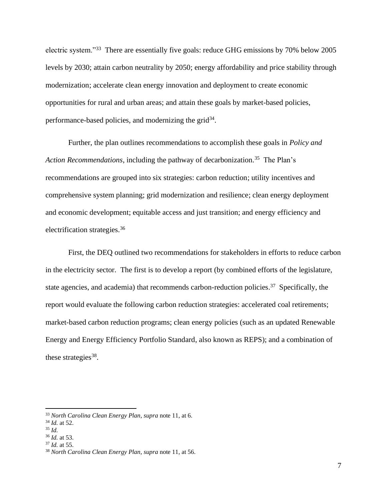electric system."<sup>33</sup> There are essentially five goals: reduce GHG emissions by 70% below 2005 levels by 2030; attain carbon neutrality by 2050; energy affordability and price stability through modernization; accelerate clean energy innovation and deployment to create economic opportunities for rural and urban areas; and attain these goals by market-based policies, performance-based policies, and modernizing the grid<sup>34</sup>.

Further, the plan outlines recommendations to accomplish these goals in *Policy and*  Action Recommendations, including the pathway of decarbonization.<sup>35</sup> The Plan's recommendations are grouped into six strategies: carbon reduction; utility incentives and comprehensive system planning; grid modernization and resilience; clean energy deployment and economic development; equitable access and just transition; and energy efficiency and electrification strategies.<sup>36</sup>

First, the DEQ outlined two recommendations for stakeholders in efforts to reduce carbon in the electricity sector. The first is to develop a report (by combined efforts of the legislature, state agencies, and academia) that recommends carbon-reduction policies.<sup>37</sup> Specifically, the report would evaluate the following carbon reduction strategies: accelerated coal retirements; market-based carbon reduction programs; clean energy policies (such as an updated Renewable Energy and Energy Efficiency Portfolio Standard, also known as REPS); and a combination of these strategies<sup>38</sup>.

<sup>37</sup> *Id.* at 55.

<sup>33</sup> *North Carolina Clean Energy Plan*, *supra* note 11, at 6.

<sup>34</sup> *Id.* at 52.

<sup>35</sup> *Id.*

<sup>36</sup> *Id.* at 53.

<sup>38</sup> *North Carolina Clean Energy Plan*, *supra* note 11, at 56.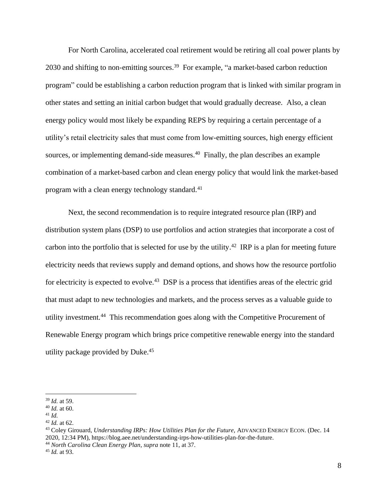For North Carolina, accelerated coal retirement would be retiring all coal power plants by 2030 and shifting to non-emitting sources.<sup>39</sup> For example, "a market-based carbon reduction program" could be establishing a carbon reduction program that is linked with similar program in other states and setting an initial carbon budget that would gradually decrease. Also, a clean energy policy would most likely be expanding REPS by requiring a certain percentage of a utility's retail electricity sales that must come from low-emitting sources, high energy efficient sources, or implementing demand-side measures.<sup>40</sup> Finally, the plan describes an example combination of a market-based carbon and clean energy policy that would link the market-based program with a clean energy technology standard.<sup>41</sup>

Next, the second recommendation is to require integrated resource plan (IRP) and distribution system plans (DSP) to use portfolios and action strategies that incorporate a cost of carbon into the portfolio that is selected for use by the utility.<sup>42</sup> IRP is a plan for meeting future electricity needs that reviews supply and demand options, and shows how the resource portfolio for electricity is expected to evolve.<sup>43</sup> DSP is a process that identifies areas of the electric grid that must adapt to new technologies and markets, and the process serves as a valuable guide to utility investment.<sup>44</sup> This recommendation goes along with the Competitive Procurement of Renewable Energy program which brings price competitive renewable energy into the standard utility package provided by Duke.<sup>45</sup>

<sup>39</sup> *Id.* at 59.

<sup>40</sup> *Id.* at 60.

<sup>41</sup> *Id.*

<sup>42</sup> *Id.* at 62.

<sup>&</sup>lt;sup>43</sup> Coley Girouard, *Understanding IRPs: How Utilities Plan for the Future*, ADVANCED ENERGY ECON. (Dec. 14 2020, 12:34 PM), https://blog.aee.net/understanding-irps-how-utilities-plan-for-the-future.

<sup>44</sup> *North Carolina Clean Energy Plan*, *supra* note 11, at 37.

<sup>45</sup> *Id.* at 93.